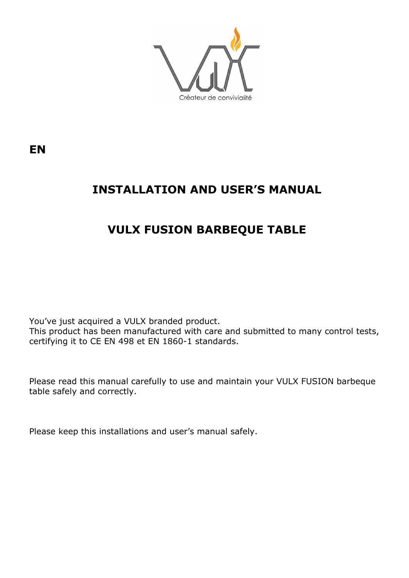

**EN**

# **INSTALLATION AND USER'S MANUAL**

# **VULX FUSION BARBEQUE TABLE**

You've just acquired a VULX branded product. This product has been manufactured with care and submitted to many control tests, certifying it to CE EN 498 et EN 1860-1 standards.

Please read this manual carefully to use and maintain your VULX FUSION barbeque table safely and correctly.

Please keep this installations and user's manual safely.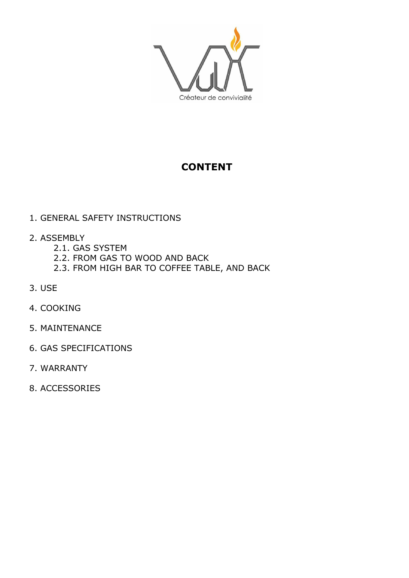

## **CONTENT**

#### 1. GENERAL SAFETY INSTRUCTIONS

- 2. ASSEMBLY
	- 2.1. GAS SYSTEM
	- 2.2. FROM GAS TO WOOD AND BACK
	- 2.3. FROM HIGH BAR TO COFFEE TABLE, AND BACK
- 3. USE
- 4. COOKING
- 5. MAINTENANCE
- 6. GAS SPECIFICATIONS
- 7. WARRANTY
- 8. ACCESSORIES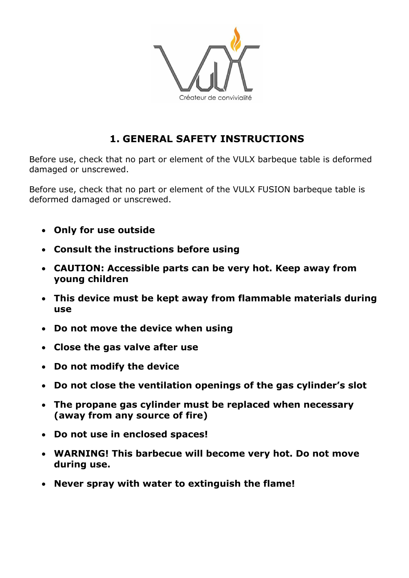

## **1. GENERAL SAFETY INSTRUCTIONS**

Before use, check that no part or element of the VULX barbeque table is deformed damaged or unscrewed.

Before use, check that no part or element of the VULX FUSION barbeque table is deformed damaged or unscrewed.

- **Only for use outside**
- **Consult the instructions before using**
- **CAUTION: Accessible parts can be very hot. Keep away from young children**
- **This device must be kept away from flammable materials during use**
- **Do not move the device when using**
- **Close the gas valve after use**
- **Do not modify the device**
- **Do not close the ventilation openings of the gas cylinder's slot**
- **The propane gas cylinder must be replaced when necessary (away from any source of fire)**
- **Do not use in enclosed spaces!**
- **WARNING! This barbecue will become very hot. Do not move during use.**
- **Never spray with water to extinguish the flame!**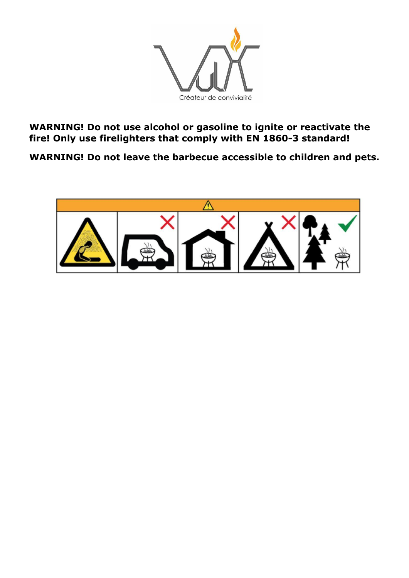

**WARNING! Do not use alcohol or gasoline to ignite or reactivate the fire! Only use firelighters that comply with EN 1860-3 standard!**

**WARNING! Do not leave the barbecue accessible to children and pets.**

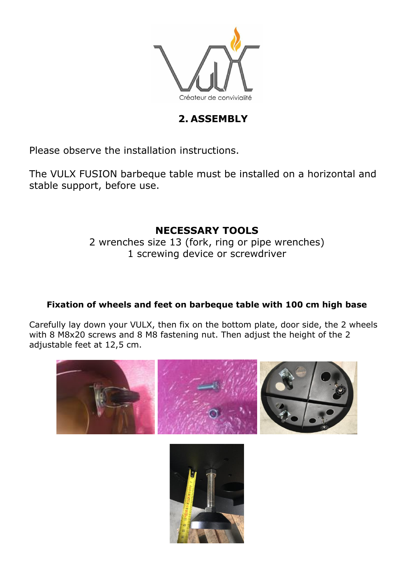

## **2. ASSEMBLY**

Please observe the installation instructions.

The VULX FUSION barbeque table must be installed on a horizontal and stable support, before use.

### **NECESSARY TOOLS**

2 wrenches size 13 (fork, ring or pipe wrenches) 1 screwing device or screwdriver

#### **Fixation of wheels and feet on barbeque table with 100 cm high base**

Carefully lay down your VULX, then fix on the bottom plate, door side, the 2 wheels with 8 M8x20 screws and 8 M8 [fastening nut.](https://www.linguee.fr/anglais-francais/traduction/fastening+nut.html) Then adjust the height of the 2 adjustable feet at 12,5 cm.



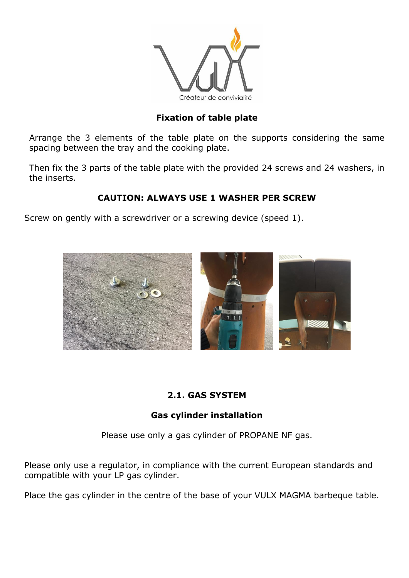

#### **Fixation of table plate**

Arrange the 3 elements of the table plate on the supports considering the same spacing between the tray and the cooking plate.

Then fix the 3 parts of the table plate with the provided 24 screws and 24 washers, in the inserts.

#### **CAUTION: ALWAYS USE 1 WASHER PER SCREW**

Screw on gently with a screwdriver or a screwing device (speed 1).



#### **2.1. GAS SYSTEM**

#### **Gas cylinder installation**

Please use only a gas cylinder of PROPANE NF gas.

Please only use a regulator, in compliance with the current European standards and compatible with your LP gas cylinder.

Place the gas cylinder in the centre of the base of your VULX MAGMA barbeque table.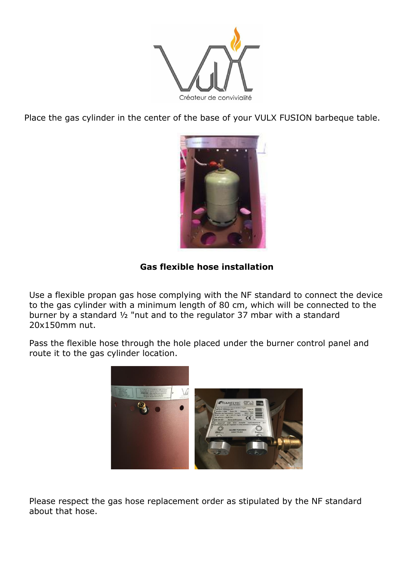

Place the gas cylinder in the center of the base of your VULX FUSION barbeque table.



#### **Gas flexible hose installation**

Use a flexible propan gas hose complying with the NF standard to connect the device to the gas cylinder with a minimum length of 80 cm, which will be connected to the burner by a standard  $\frac{1}{2}$  "nut and to the regulator 37 mbar with a standard 20x150mm nut.

Pass the flexible hose through the hole placed under the burner control panel and route it to the gas cylinder location.



Please respect the gas hose replacement order as stipulated by the NF standard about that hose.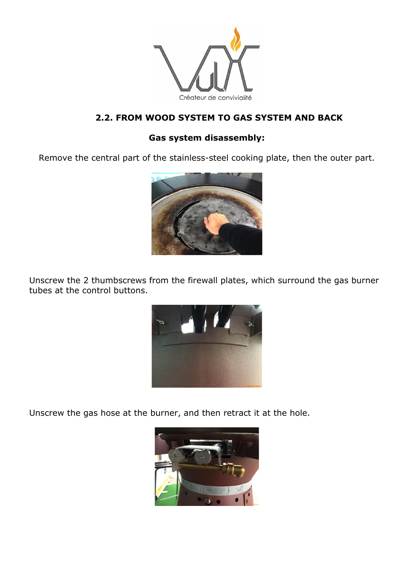

### **2.2. FROM WOOD SYSTEM TO GAS SYSTEM AND BACK**

#### **Gas system disassembly:**

Remove the central part of the stainless-steel cooking plate, then the outer part.



Unscrew the 2 thumbscrews from the firewall plates, which surround the gas burner tubes at the control buttons.



Unscrew the gas hose at the burner, and then retract it at the hole.

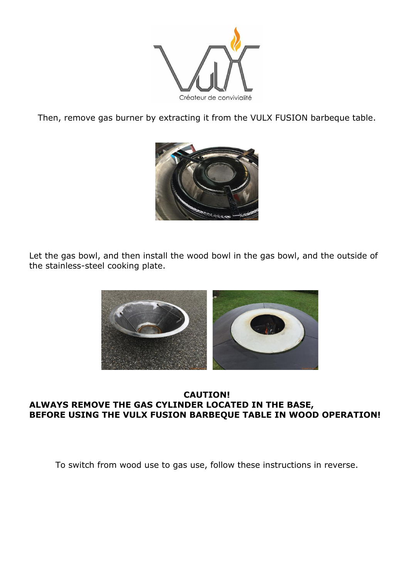

Then, remove gas burner by extracting it from the VULX FUSION barbeque table.



Let the gas bowl, and then install the wood bowl in the gas bowl, and the outside of the stainless-steel cooking plate.



#### **CAUTION! ALWAYS REMOVE THE GAS CYLINDER LOCATED IN THE BASE, BEFORE USING THE VULX FUSION BARBEQUE TABLE IN WOOD OPERATION!**

To switch from wood use to gas use, follow these instructions in reverse.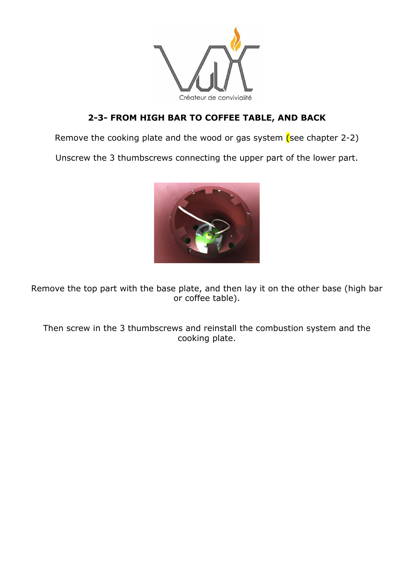

### **2-3- FROM HIGH BAR TO COFFEE TABLE, AND BACK**

Remove the cooking plate and the wood or gas system  $(see$  chapter 2-2)

Unscrew the 3 thumbscrews connecting the upper part of the lower part.



Remove the top part with the base plate, and then lay it on the other base (high bar or coffee table).

Then screw in the 3 thumbscrews and reinstall the combustion system and the cooking plate.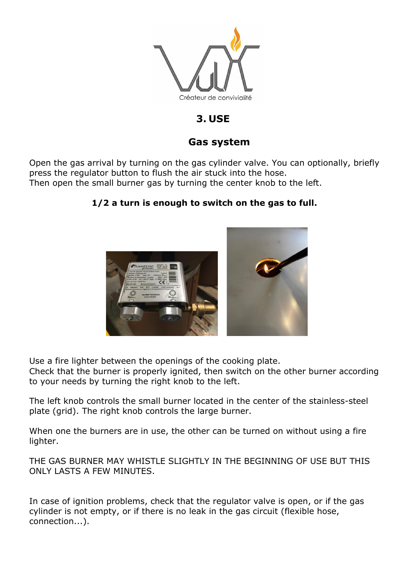

### **3. USE**

#### **Gas system**

Open the gas arrival by turning on the gas cylinder valve. You can optionally, briefly press the regulator button to flush the air stuck into the hose. Then open the small burner gas by turning the center knob to the left.

#### **1/2 a turn is enough to switch on the gas to full.**



Use a fire lighter between the openings of the cooking plate.

Check that the burner is properly ignited, then switch on the other burner according to your needs by turning the right knob to the left.

The left knob controls the small burner located in the center of the stainless-steel plate (grid). The right knob controls the large burner.

When one the burners are in use, the other can be turned on without using a fire lighter.

THE GAS BURNER MAY WHISTLE SLIGHTLY IN THE BEGINNING OF USE BUT THIS ONLY LASTS A FEW MINUTES.

In case of ignition problems, check that the regulator valve is open, or if the gas cylinder is not empty, or if there is no leak in the gas circuit (flexible hose, connection...).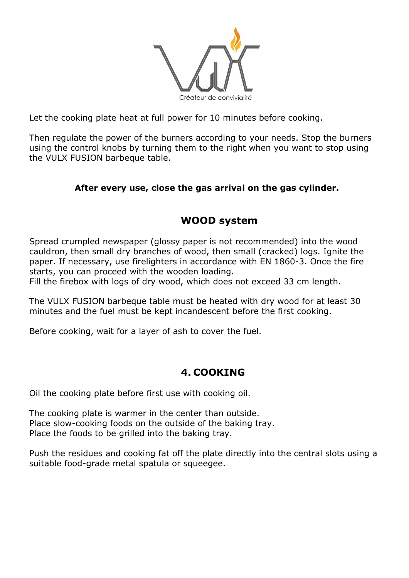

Let the cooking plate heat at full power for 10 minutes before cooking.

Then regulate the power of the burners according to your needs. Stop the burners using the control knobs by turning them to the right when you want to stop using the VULX FUSION barbeque table.

#### **After every use, close the gas arrival on the gas cylinder.**

## **WOOD system**

Spread crumpled newspaper (glossy paper is not recommended) into the wood cauldron, then small dry branches of wood, then small (cracked) logs. Ignite the paper. If necessary, use firelighters in accordance with EN 1860-3. Once the fire starts, you can proceed with the wooden loading.

Fill the firebox with logs of dry wood, which does not exceed 33 cm length.

The VULX FUSION barbeque table must be heated with dry wood for at least 30 minutes and the fuel must be kept incandescent before the first cooking.

Before cooking, wait for a layer of ash to cover the fuel.

### **4. COOKING**

Oil the cooking plate before first use with cooking oil.

The cooking plate is warmer in the center than outside. Place slow-cooking foods on the outside of the baking tray. Place the foods to be grilled into the baking tray.

Push the residues and cooking fat off the plate directly into the central slots using a suitable food-grade metal spatula or squeegee.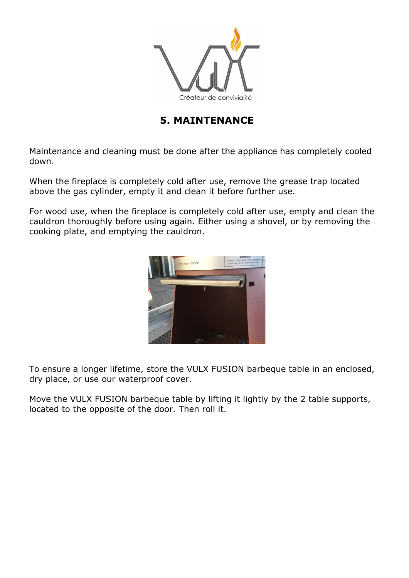

### **5. MAINTENANCE**

Maintenance and cleaning must be done after the appliance has completely cooled down.

When the fireplace is completely cold after use, remove the grease trap located above the gas cylinder, empty it and clean it before further use.

For wood use, when the fireplace is completely cold after use, empty and clean the cauldron thoroughly before using again. Either using a shovel, or by removing the cooking plate, and emptying the cauldron.



To ensure a longer lifetime, store the VULX FUSION barbeque table in an enclosed, dry place, or use our waterproof cover.

Move the VULX FUSION barbeque table by lifting it lightly by the 2 table supports, located to the opposite of the door. Then roll it.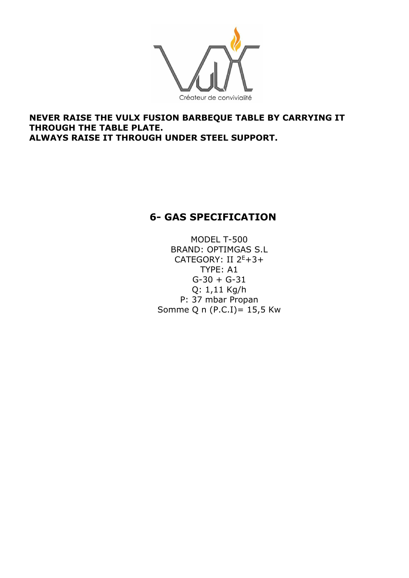

#### **NEVER RAISE THE VULX FUSION BARBEQUE TABLE BY CARRYING IT THROUGH THE TABLE PLATE. ALWAYS RAISE IT THROUGH UNDER STEEL SUPPORT.**

## **6- GAS SPECIFICATION**

MODEL T-500 BRAND: OPTIMGAS S.L CATEGORY: II  $2^E+3+$ TYPE: A1  $G-30 + G-31$ Q: 1,11 Kg/h P: 37 mbar Propan Somme Q n (P.C.I)= 15,5 Kw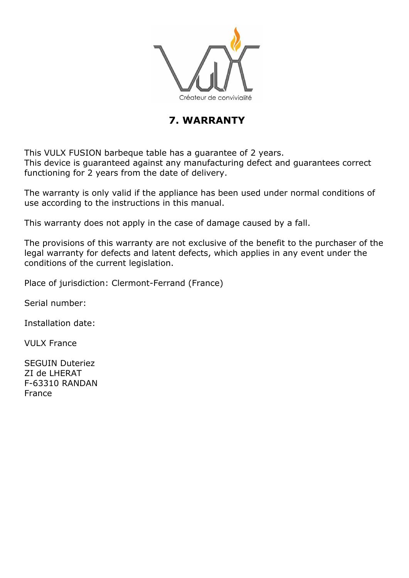

## **7. WARRANTY**

This VULX FUSION barbeque table has a guarantee of 2 years. This device is guaranteed against any manufacturing defect and guarantees correct functioning for 2 years from the date of delivery.

The warranty is only valid if the appliance has been used under normal conditions of use according to the instructions in this manual.

This warranty does not apply in the case of damage caused by a fall.

The provisions of this warranty are not exclusive of the benefit to the purchaser of the legal warranty for defects and latent defects, which applies in any event under the conditions of the current legislation.

Place of jurisdiction: Clermont-Ferrand (France)

Serial number:

Installation date:

VULX France

SEGUIN Duteriez ZI de LHERAT F-63310 RANDAN France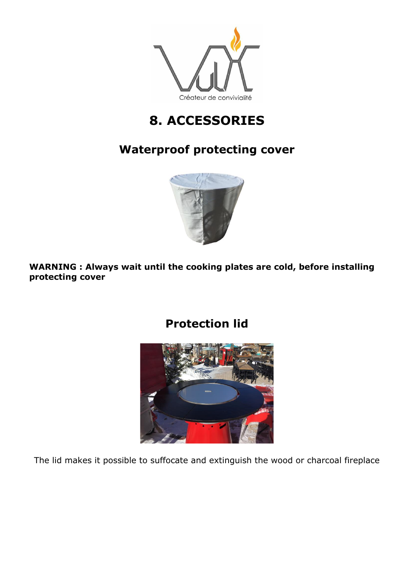

# **8. ACCESSORIES**

## **Waterproof protecting cover**



**WARNING : Always wait until the cooking plates are cold, before installing protecting cover**



The lid makes it possible to suffocate and extinguish the wood or charcoal fireplace

# **Protection lid**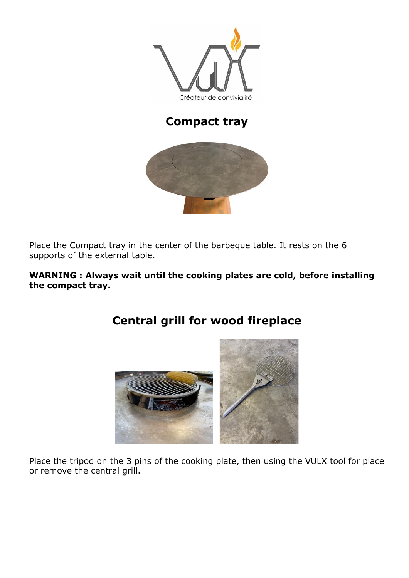

## **Compact tray**



Place the Compact tray in the center of the barbeque table. It rests on the 6 supports of the external table.

#### **WARNING : Always wait until the cooking plates are cold, before installing the compact tray.**



# **Central grill for wood fireplace**

Place the tripod on the 3 pins of the cooking plate, then using the VULX tool for place or remove the central grill.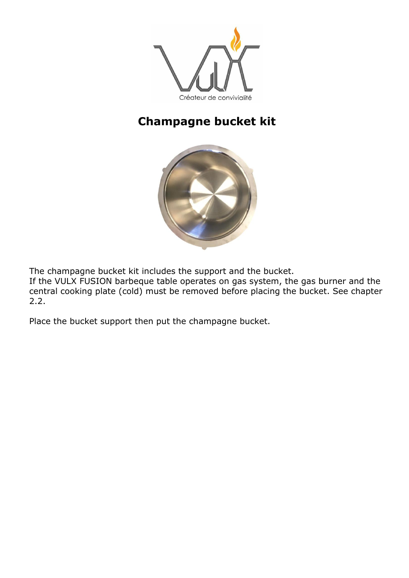

## **Champagne bucket kit**



The champagne bucket kit includes the support and the bucket.

If the VULX FUSION barbeque table operates on gas system, the gas burner and the central cooking plate (cold) must be removed before placing the bucket. See chapter 2.2.

Place the bucket support then put the champagne bucket.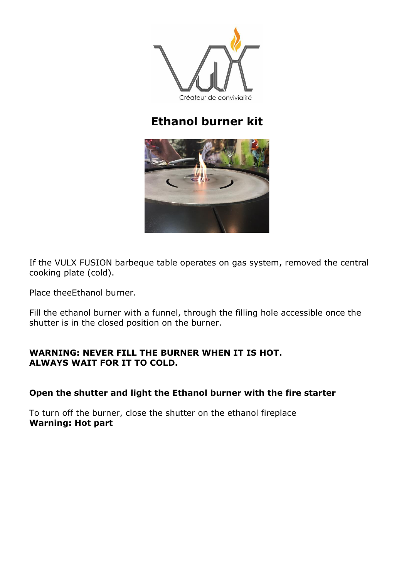

## **Ethanol burner kit**



If the VULX FUSION barbeque table operates on gas system, removed the central cooking plate (cold).

Place theeEthanol burner.

Fill the ethanol burner with a funnel, through the filling hole accessible once the shutter is in the closed position on the burner.

#### **WARNING: NEVER FILL THE BURNER WHEN IT IS HOT. ALWAYS WAIT FOR IT TO COLD.**

#### **Open the shutter and light the Ethanol burner with the fire starter**

To turn off the burner, close the shutter on the ethanol fireplace **Warning: Hot part**